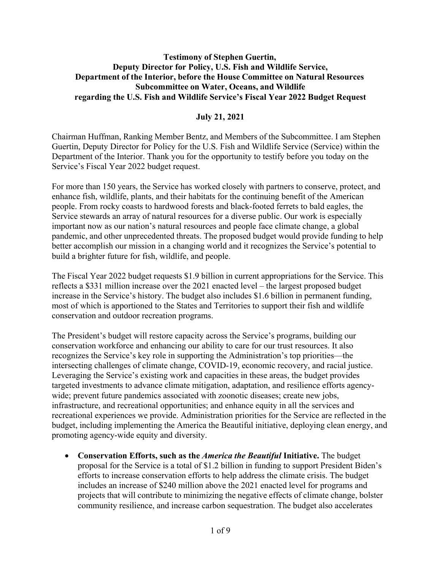### **Testimony of Stephen Guertin, Deputy Director for Policy, U.S. Fish and Wildlife Service, Department of the Interior, before the House Committee on Natural Resources Subcommittee on Water, Oceans, and Wildlife regarding the U.S. Fish and Wildlife Service's Fiscal Year 2022 Budget Request**

### **July 21, 2021**

Chairman Huffman, Ranking Member Bentz, and Members of the Subcommittee. I am Stephen Guertin, Deputy Director for Policy for the U.S. Fish and Wildlife Service (Service) within the Department of the Interior. Thank you for the opportunity to testify before you today on the Service's Fiscal Year 2022 budget request.

For more than 150 years, the Service has worked closely with partners to conserve, protect, and enhance fish, wildlife, plants, and their habitats for the continuing benefit of the American people. From rocky coasts to hardwood forests and black-footed ferrets to bald eagles, the Service stewards an array of natural resources for a diverse public. Our work is especially important now as our nation's natural resources and people face climate change, a global pandemic, and other unprecedented threats. The proposed budget would provide funding to help better accomplish our mission in a changing world and it recognizes the Service's potential to build a brighter future for fish, wildlife, and people.

The Fiscal Year 2022 budget requests \$1.9 billion in current appropriations for the Service. This reflects a \$331 million increase over the 2021 enacted level – the largest proposed budget increase in the Service's history. The budget also includes \$1.6 billion in permanent funding, most of which is apportioned to the States and Territories to support their fish and wildlife conservation and outdoor recreation programs.

The President's budget will restore capacity across the Service's programs, building our conservation workforce and enhancing our ability to care for our trust resources. It also recognizes the Service's key role in supporting the Administration's top priorities—the intersecting challenges of climate change, COVID-19, economic recovery, and racial justice. Leveraging the Service's existing work and capacities in these areas, the budget provides targeted investments to advance climate mitigation, adaptation, and resilience efforts agencywide; prevent future pandemics associated with zoonotic diseases; create new jobs, infrastructure, and recreational opportunities; and enhance equity in all the services and recreational experiences we provide. Administration priorities for the Service are reflected in the budget, including implementing the America the Beautiful initiative, deploying clean energy, and promoting agency-wide equity and diversity.

• **Conservation Efforts, such as the** *America the Beautiful* **Initiative.** The budget proposal for the Service is a total of \$1.2 billion in funding to support President Biden's efforts to increase conservation efforts to help address the climate crisis. The budget includes an increase of \$240 million above the 2021 enacted level for programs and projects that will contribute to minimizing the negative effects of climate change, bolster community resilience, and increase carbon sequestration. The budget also accelerates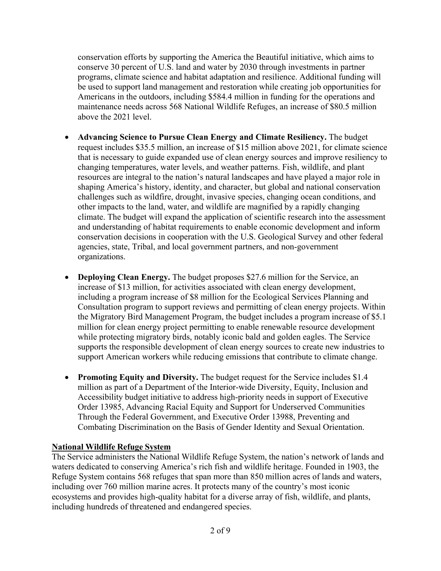conservation efforts by supporting the America the Beautiful initiative, which aims to conserve 30 percent of U.S. land and water by 2030 through investments in partner programs, climate science and habitat adaptation and resilience. Additional funding will be used to support land management and restoration while creating job opportunities for Americans in the outdoors, including \$584.4 million in funding for the operations and maintenance needs across 568 National Wildlife Refuges, an increase of \$80.5 million above the 2021 level.

- **Advancing Science to Pursue Clean Energy and Climate Resiliency.** The budget request includes \$35.5 million, an increase of \$15 million above 2021, for climate science that is necessary to guide expanded use of clean energy sources and improve resiliency to changing temperatures, water levels, and weather patterns. Fish, wildlife, and plant resources are integral to the nation's natural landscapes and have played a major role in shaping America's history, identity, and character, but global and national conservation challenges such as wildfire, drought, invasive species, changing ocean conditions, and other impacts to the land, water, and wildlife are magnified by a rapidly changing climate. The budget will expand the application of scientific research into the assessment and understanding of habitat requirements to enable economic development and inform conservation decisions in cooperation with the U.S. Geological Survey and other federal agencies, state, Tribal, and local government partners, and non-government organizations.
- **Deploying Clean Energy.** The budget proposes \$27.6 million for the Service, an increase of \$13 million, for activities associated with clean energy development, including a program increase of \$8 million for the Ecological Services Planning and Consultation program to support reviews and permitting of clean energy projects. Within the Migratory Bird Management Program, the budget includes a program increase of \$5.1 million for clean energy project permitting to enable renewable resource development while protecting migratory birds, notably iconic bald and golden eagles. The Service supports the responsible development of clean energy sources to create new industries to support American workers while reducing emissions that contribute to climate change.
- **Promoting Equity and Diversity.** The budget request for the Service includes \$1.4 million as part of a Department of the Interior-wide Diversity, Equity, Inclusion and Accessibility budget initiative to address high-priority needs in support of Executive Order 13985, Advancing Racial Equity and Support for Underserved Communities Through the Federal Government, and Executive Order 13988, Preventing and Combating Discrimination on the Basis of Gender Identity and Sexual Orientation.

### **National Wildlife Refuge System**

The Service administers the National Wildlife Refuge System, the nation's network of lands and waters dedicated to conserving America's rich fish and wildlife heritage. Founded in 1903, the Refuge System contains 568 refuges that span more than 850 million acres of lands and waters, including over 760 million marine acres. It protects many of the country's most iconic ecosystems and provides high-quality habitat for a diverse array of fish, wildlife, and plants, including hundreds of threatened and endangered species.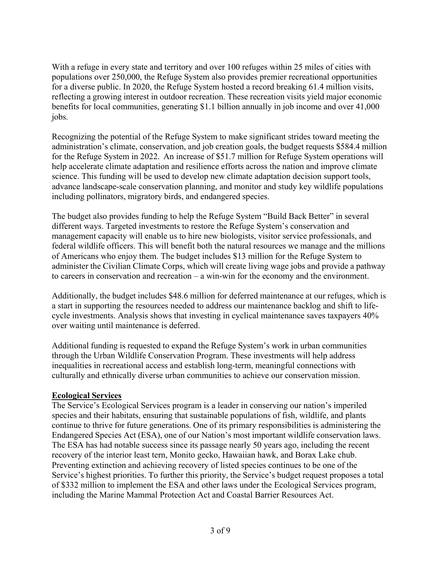With a refuge in every state and territory and over 100 refuges within 25 miles of cities with populations over 250,000, the Refuge System also provides premier recreational opportunities for a diverse public. In 2020, the Refuge System hosted a record breaking 61.4 million visits, reflecting a growing interest in outdoor recreation. These recreation visits yield major economic benefits for local communities, generating \$1.1 billion annually in job income and over 41,000 jobs.

Recognizing the potential of the Refuge System to make significant strides toward meeting the administration's climate, conservation, and job creation goals, the budget requests \$584.4 million for the Refuge System in 2022. An increase of \$51.7 million for Refuge System operations will help accelerate climate adaptation and resilience efforts across the nation and improve climate science. This funding will be used to develop new climate adaptation decision support tools, advance landscape-scale conservation planning, and monitor and study key wildlife populations including pollinators, migratory birds, and endangered species.

The budget also provides funding to help the Refuge System "Build Back Better" in several different ways. Targeted investments to restore the Refuge System's conservation and management capacity will enable us to hire new biologists, visitor service professionals, and federal wildlife officers. This will benefit both the natural resources we manage and the millions of Americans who enjoy them. The budget includes \$13 million for the Refuge System to administer the Civilian Climate Corps, which will create living wage jobs and provide a pathway to careers in conservation and recreation – a win-win for the economy and the environment.

Additionally, the budget includes \$48.6 million for deferred maintenance at our refuges, which is a start in supporting the resources needed to address our maintenance backlog and shift to lifecycle investments. Analysis shows that investing in cyclical maintenance saves taxpayers 40% over waiting until maintenance is deferred.

Additional funding is requested to expand the Refuge System's work in urban communities through the Urban Wildlife Conservation Program. These investments will help address inequalities in recreational access and establish long-term, meaningful connections with culturally and ethnically diverse urban communities to achieve our conservation mission.

### **Ecological Services**

The Service's Ecological Services program is a leader in conserving our nation's imperiled species and their habitats, ensuring that sustainable populations of fish, wildlife, and plants continue to thrive for future generations. One of its primary responsibilities is administering the Endangered Species Act (ESA), one of our Nation's most important wildlife conservation laws. The ESA has had notable success since its passage nearly 50 years ago, including the recent recovery of the interior least tern, Monito gecko, Hawaiian hawk, and Borax Lake chub. Preventing extinction and achieving recovery of listed species continues to be one of the Service's highest priorities. To further this priority, the Service's budget request proposes a total of \$332 million to implement the ESA and other laws under the Ecological Services program, including the Marine Mammal Protection Act and Coastal Barrier Resources Act.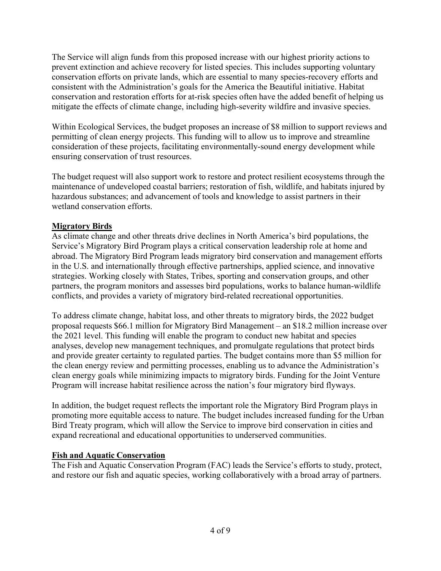The Service will align funds from this proposed increase with our highest priority actions to prevent extinction and achieve recovery for listed species. This includes supporting voluntary conservation efforts on private lands, which are essential to many species-recovery efforts and consistent with the Administration's goals for the America the Beautiful initiative. Habitat conservation and restoration efforts for at-risk species often have the added benefit of helping us mitigate the effects of climate change, including high-severity wildfire and invasive species.

Within Ecological Services, the budget proposes an increase of \$8 million to support reviews and permitting of clean energy projects. This funding will to allow us to improve and streamline consideration of these projects, facilitating environmentally-sound energy development while ensuring conservation of trust resources.

The budget request will also support work to restore and protect resilient ecosystems through the maintenance of undeveloped coastal barriers; restoration of fish, wildlife, and habitats injured by hazardous substances; and advancement of tools and knowledge to assist partners in their wetland conservation efforts.

### **Migratory Birds**

As climate change and other threats drive declines in North America's bird populations, the Service's Migratory Bird Program plays a critical conservation leadership role at home and abroad. The Migratory Bird Program leads migratory bird conservation and management efforts in the U.S. and internationally through effective partnerships, applied science, and innovative strategies. Working closely with States, Tribes, sporting and conservation groups, and other partners, the program monitors and assesses bird populations, works to balance human-wildlife conflicts, and provides a variety of migratory bird-related recreational opportunities.

To address climate change, habitat loss, and other threats to migratory birds, the 2022 budget proposal requests \$66.1 million for Migratory Bird Management – an \$18.2 million increase over the 2021 level. This funding will enable the program to conduct new habitat and species analyses, develop new management techniques, and promulgate regulations that protect birds and provide greater certainty to regulated parties. The budget contains more than \$5 million for the clean energy review and permitting processes, enabling us to advance the Administration's clean energy goals while minimizing impacts to migratory birds. Funding for the Joint Venture Program will increase habitat resilience across the nation's four migratory bird flyways.

In addition, the budget request reflects the important role the Migratory Bird Program plays in promoting more equitable access to nature. The budget includes increased funding for the Urban Bird Treaty program, which will allow the Service to improve bird conservation in cities and expand recreational and educational opportunities to underserved communities.

### **Fish and Aquatic Conservation**

The Fish and Aquatic Conservation Program (FAC) leads the Service's efforts to study, protect, and restore our fish and aquatic species, working collaboratively with a broad array of partners.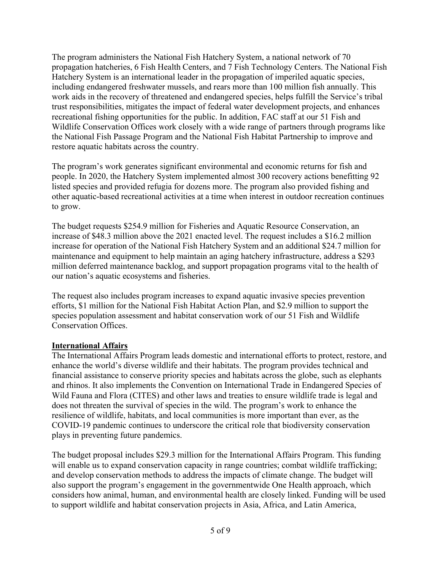The program administers the National Fish Hatchery System, a national network of 70 propagation hatcheries, 6 Fish Health Centers, and 7 Fish Technology Centers. The National Fish Hatchery System is an international leader in the propagation of imperiled aquatic species, including endangered freshwater mussels, and rears more than 100 million fish annually. This work aids in the recovery of threatened and endangered species, helps fulfill the Service's tribal trust responsibilities, mitigates the impact of federal water development projects, and enhances recreational fishing opportunities for the public. In addition, FAC staff at our 51 Fish and Wildlife Conservation Offices work closely with a wide range of partners through programs like the National Fish Passage Program and the National Fish Habitat Partnership to improve and restore aquatic habitats across the country.

The program's work generates significant environmental and economic returns for fish and people. In 2020, the Hatchery System implemented almost 300 recovery actions benefitting 92 listed species and provided refugia for dozens more. The program also provided fishing and other aquatic-based recreational activities at a time when interest in outdoor recreation continues to grow.

The budget requests \$254.9 million for Fisheries and Aquatic Resource Conservation, an increase of \$48.3 million above the 2021 enacted level. The request includes a \$16.2 million increase for operation of the National Fish Hatchery System and an additional \$24.7 million for maintenance and equipment to help maintain an aging hatchery infrastructure, address a \$293 million deferred maintenance backlog, and support propagation programs vital to the health of our nation's aquatic ecosystems and fisheries.

The request also includes program increases to expand aquatic invasive species prevention efforts, \$1 million for the National Fish Habitat Action Plan, and \$2.9 million to support the species population assessment and habitat conservation work of our 51 Fish and Wildlife Conservation Offices.

### **International Affairs**

The International Affairs Program leads domestic and international efforts to protect, restore, and enhance the world's diverse wildlife and their habitats. The program provides technical and financial assistance to conserve priority species and habitats across the globe, such as elephants and rhinos. It also implements the Convention on International Trade in Endangered Species of Wild Fauna and Flora (CITES) and other laws and treaties to ensure wildlife trade is legal and does not threaten the survival of species in the wild. The program's work to enhance the resilience of wildlife, habitats, and local communities is more important than ever, as the COVID-19 pandemic continues to underscore the critical role that biodiversity conservation plays in preventing future pandemics.

The budget proposal includes \$29.3 million for the International Affairs Program. This funding will enable us to expand conservation capacity in range countries; combat wildlife trafficking; and develop conservation methods to address the impacts of climate change. The budget will also support the program's engagement in the governmentwide One Health approach, which considers how animal, human, and environmental health are closely linked. Funding will be used to support wildlife and habitat conservation projects in Asia, Africa, and Latin America,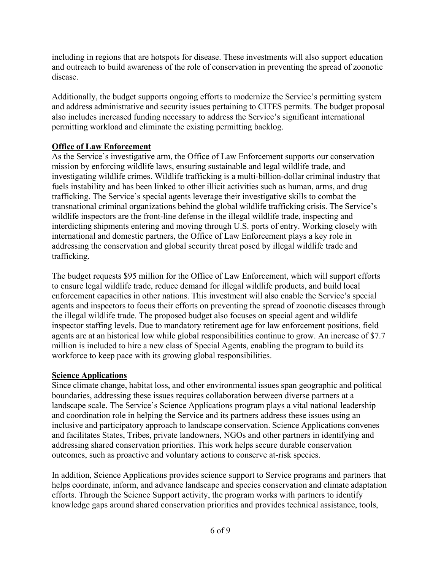including in regions that are hotspots for disease. These investments will also support education and outreach to build awareness of the role of conservation in preventing the spread of zoonotic disease.

Additionally, the budget supports ongoing efforts to modernize the Service's permitting system and address administrative and security issues pertaining to CITES permits. The budget proposal also includes increased funding necessary to address the Service's significant international permitting workload and eliminate the existing permitting backlog.

## **Office of Law Enforcement**

As the Service's investigative arm, the Office of Law Enforcement supports our conservation mission by enforcing wildlife laws, ensuring sustainable and legal wildlife trade, and investigating wildlife crimes. Wildlife trafficking is a multi-billion-dollar criminal industry that fuels instability and has been linked to other illicit activities such as human, arms, and drug trafficking. The Service's special agents leverage their investigative skills to combat the transnational criminal organizations behind the global wildlife trafficking crisis. The Service's wildlife inspectors are the front-line defense in the illegal wildlife trade, inspecting and interdicting shipments entering and moving through U.S. ports of entry. Working closely with international and domestic partners, the Office of Law Enforcement plays a key role in addressing the conservation and global security threat posed by illegal wildlife trade and trafficking.

The budget requests \$95 million for the Office of Law Enforcement, which will support efforts to ensure legal wildlife trade, reduce demand for illegal wildlife products, and build local enforcement capacities in other nations. This investment will also enable the Service's special agents and inspectors to focus their efforts on preventing the spread of zoonotic diseases through the illegal wildlife trade. The proposed budget also focuses on special agent and wildlife inspector staffing levels. Due to mandatory retirement age for law enforcement positions, field agents are at an historical low while global responsibilities continue to grow. An increase of \$7.7 million is included to hire a new class of Special Agents, enabling the program to build its workforce to keep pace with its growing global responsibilities.

### **Science Applications**

Since climate change, habitat loss, and other environmental issues span geographic and political boundaries, addressing these issues requires collaboration between diverse partners at a landscape scale. The Service's Science Applications program plays a vital national leadership and coordination role in helping the Service and its partners address these issues using an inclusive and participatory approach to landscape conservation. Science Applications convenes and facilitates States, Tribes, private landowners, NGOs and other partners in identifying and addressing shared conservation priorities. This work helps secure durable conservation outcomes, such as proactive and voluntary actions to conserve at-risk species.

In addition, Science Applications provides science support to Service programs and partners that helps coordinate, inform, and advance landscape and species conservation and climate adaptation efforts. Through the Science Support activity, the program works with partners to identify knowledge gaps around shared conservation priorities and provides technical assistance, tools,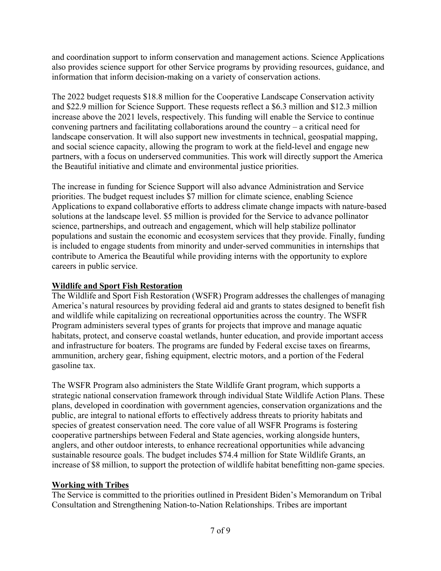and coordination support to inform conservation and management actions. Science Applications also provides science support for other Service programs by providing resources, guidance, and information that inform decision-making on a variety of conservation actions.

The 2022 budget requests \$18.8 million for the Cooperative Landscape Conservation activity and \$22.9 million for Science Support. These requests reflect a \$6.3 million and \$12.3 million increase above the 2021 levels, respectively. This funding will enable the Service to continue convening partners and facilitating collaborations around the country – a critical need for landscape conservation. It will also support new investments in technical, geospatial mapping, and social science capacity, allowing the program to work at the field-level and engage new partners, with a focus on underserved communities. This work will directly support the America the Beautiful initiative and climate and environmental justice priorities.

The increase in funding for Science Support will also advance Administration and Service priorities. The budget request includes \$7 million for climate science, enabling Science Applications to expand collaborative efforts to address climate change impacts with nature-based solutions at the landscape level. \$5 million is provided for the Service to advance pollinator science, partnerships, and outreach and engagement, which will help stabilize pollinator populations and sustain the economic and ecosystem services that they provide. Finally, funding is included to engage students from minority and under-served communities in internships that contribute to America the Beautiful while providing interns with the opportunity to explore careers in public service.

## **Wildlife and Sport Fish Restoration**

The Wildlife and Sport Fish Restoration (WSFR) Program addresses the challenges of managing America's natural resources by providing federal aid and grants to states designed to benefit fish and wildlife while capitalizing on recreational opportunities across the country. The WSFR Program administers several types of grants for projects that improve and manage aquatic habitats, protect, and conserve coastal wetlands, hunter education, and provide important access and infrastructure for boaters. The programs are funded by Federal excise taxes on firearms, ammunition, archery gear, fishing equipment, electric motors, and a portion of the Federal gasoline tax.

The WSFR Program also administers the State Wildlife Grant program, which supports a strategic national conservation framework through individual State Wildlife Action Plans. These plans, developed in coordination with government agencies, conservation organizations and the public, are integral to national efforts to effectively address threats to priority habitats and species of greatest conservation need. The core value of all WSFR Programs is fostering cooperative partnerships between Federal and State agencies, working alongside hunters, anglers, and other outdoor interests, to enhance recreational opportunities while advancing sustainable resource goals. The budget includes \$74.4 million for State Wildlife Grants, an increase of \$8 million, to support the protection of wildlife habitat benefitting non-game species.

# **Working with Tribes**

The Service is committed to the priorities outlined in President Biden's Memorandum on Tribal Consultation and Strengthening Nation-to-Nation Relationships. Tribes are important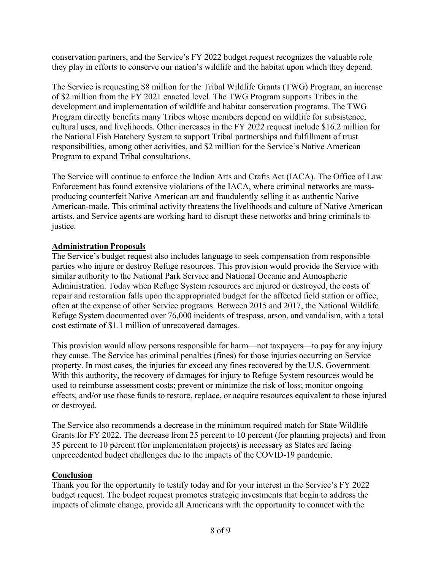conservation partners, and the Service's FY 2022 budget request recognizes the valuable role they play in efforts to conserve our nation's wildlife and the habitat upon which they depend.

The Service is requesting \$8 million for the Tribal Wildlife Grants (TWG) Program, an increase of \$2 million from the FY 2021 enacted level. The TWG Program supports Tribes in the development and implementation of wildlife and habitat conservation programs. The TWG Program directly benefits many Tribes whose members depend on wildlife for subsistence, cultural uses, and livelihoods. Other increases in the FY 2022 request include \$16.2 million for the National Fish Hatchery System to support Tribal partnerships and fulfillment of trust responsibilities, among other activities, and \$2 million for the Service's Native American Program to expand Tribal consultations.

The Service will continue to enforce the Indian Arts and Crafts Act (IACA). The Office of Law Enforcement has found extensive violations of the IACA, where criminal networks are massproducing counterfeit Native American art and fraudulently selling it as authentic Native American-made. This criminal activity threatens the livelihoods and culture of Native American artists, and Service agents are working hard to disrupt these networks and bring criminals to justice.

### **Administration Proposals**

The Service's budget request also includes language to seek compensation from responsible parties who injure or destroy Refuge resources. This provision would provide the Service with similar authority to the National Park Service and National Oceanic and Atmospheric Administration. Today when Refuge System resources are injured or destroyed, the costs of repair and restoration falls upon the appropriated budget for the affected field station or office, often at the expense of other Service programs. Between 2015 and 2017, the National Wildlife Refuge System documented over 76,000 incidents of trespass, arson, and vandalism, with a total cost estimate of \$1.1 million of unrecovered damages.

This provision would allow persons responsible for harm—not taxpayers—to pay for any injury they cause. The Service has criminal penalties (fines) for those injuries occurring on Service property. In most cases, the injuries far exceed any fines recovered by the U.S. Government. With this authority, the recovery of damages for injury to Refuge System resources would be used to reimburse assessment costs; prevent or minimize the risk of loss; monitor ongoing effects, and/or use those funds to restore, replace, or acquire resources equivalent to those injured or destroyed.

The Service also recommends a decrease in the minimum required match for State Wildlife Grants for FY 2022. The decrease from 25 percent to 10 percent (for planning projects) and from 35 percent to 10 percent (for implementation projects) is necessary as States are facing unprecedented budget challenges due to the impacts of the COVID-19 pandemic.

### **Conclusion**

Thank you for the opportunity to testify today and for your interest in the Service's FY 2022 budget request. The budget request promotes strategic investments that begin to address the impacts of climate change, provide all Americans with the opportunity to connect with the